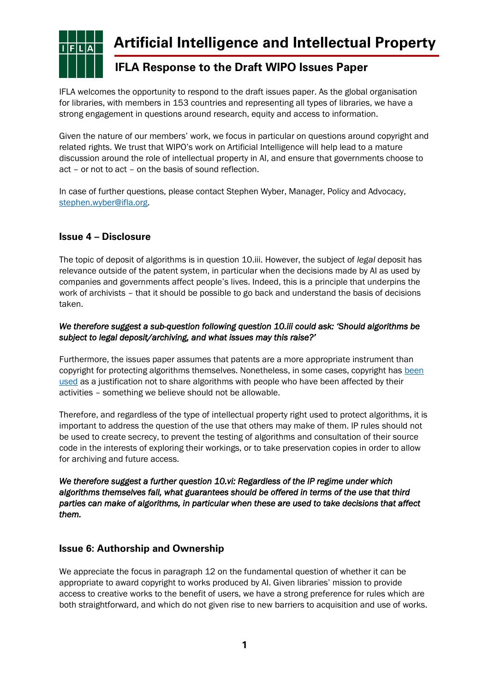

# **Artificial Intelligence and Intellectual Property**

## **IFLA Response to the Draft WIPO Issues Paper**

IFLA welcomes the opportunity to respond to the draft issues paper. As the global organisation for libraries, with members in 153 countries and representing all types of libraries, we have a strong engagement in questions around research, equity and access to information.

Given the nature of our members' work, we focus in particular on questions around copyright and related rights. We trust that WIPO's work on Artificial Intelligence will help lead to a mature discussion around the role of intellectual property in AI, and ensure that governments choose to act – or not to act – on the basis of sound reflection.

In case of further questions, please contact Stephen Wyber, Manager, Policy and Advocacy, [stephen.wyber@ifla.org.](mailto:stephen.wyber@ifla.org)

### **Issue 4 – Disclosure**

The topic of deposit of algorithms is in question 10.iii. However, the subject of *legal* deposit has relevance outside of the patent system, in particular when the decisions made by AI as used by companies and governments affect people's lives. Indeed, this is a principle that underpins the work of archivists – that it should be possible to go back and understand the basis of decisions taken.

### *We therefore suggest a sub-question following question 10.iii could ask: 'Should algorithms be subject to legal deposit/archiving, and what issues may this raise?'*

Furthermore, the issues paper assumes that patents are a more appropriate instrument than copyright for protecting algorithms themselves. Nonetheless, in some cases, copyright has been [used](https://algorithmwatch.org/en/story/spain-legal-fight-over-an-algorithms-code/) as a justification not to share algorithms with people who have been affected by their activities – something we believe should not be allowable.

Therefore, and regardless of the type of intellectual property right used to protect algorithms, it is important to address the question of the use that others may make of them. IP rules should not be used to create secrecy, to prevent the testing of algorithms and consultation of their source code in the interests of exploring their workings, or to take preservation copies in order to allow for archiving and future access.

*We therefore suggest a further question 10.vi: Regardless of the IP regime under which algorithms themselves fall, what guarantees should be offered in terms of the use that third parties can make of algorithms, in particular when these are used to take decisions that affect them.* 

### **Issue 6: Authorship and Ownership**

We appreciate the focus in paragraph 12 on the fundamental question of whether it can be appropriate to award copyright to works produced by AI. Given libraries' mission to provide access to creative works to the benefit of users, we have a strong preference for rules which are both straightforward, and which do not given rise to new barriers to acquisition and use of works.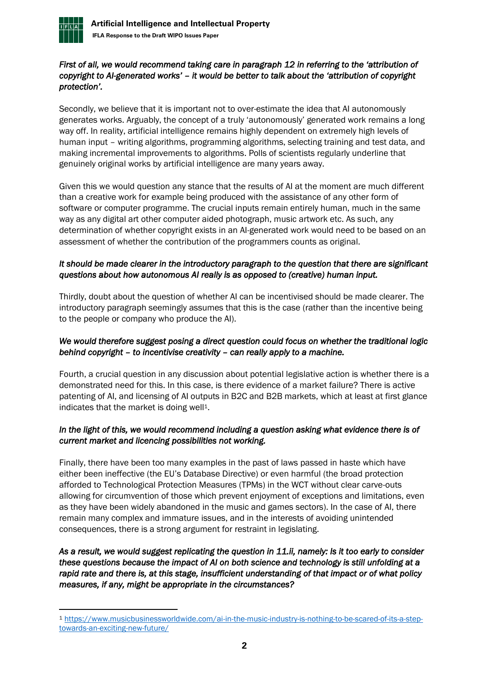

### *First of all, we would recommend taking care in paragraph 12 in referring to the 'attribution of copyright to AI-generated works' – it would be better to talk about the 'attribution of copyright protection'.*

Secondly, we believe that it is important not to over-estimate the idea that AI autonomously generates works. Arguably, the concept of a truly 'autonomously' generated work remains a long way off. In reality, artificial intelligence remains highly dependent on extremely high levels of human input – writing algorithms, programming algorithms, selecting training and test data, and making incremental improvements to algorithms. Polls of scientists regularly underline that genuinely original works by artificial intelligence are many years away.

Given this we would question any stance that the results of AI at the moment are much different than a creative work for example being produced with the assistance of any other form of software or computer programme. The crucial inputs remain entirely human, much in the same way as any digital art other computer aided photograph, music artwork etc. As such, any determination of whether copyright exists in an AI-generated work would need to be based on an assessment of whether the contribution of the programmers counts as original.

### *It should be made clearer in the introductory paragraph to the question that there are significant questions about how autonomous AI really is as opposed to (creative) human input.*

Thirdly, doubt about the question of whether AI can be incentivised should be made clearer. The introductory paragraph seemingly assumes that this is the case (rather than the incentive being to the people or company who produce the AI).

### *We would therefore suggest posing a direct question could focus on whether the traditional logic behind copyright – to incentivise creativity – can really apply to a machine.*

Fourth, a crucial question in any discussion about potential legislative action is whether there is a demonstrated need for this. In this case, is there evidence of a market failure? There is active patenting of AI, and licensing of AI outputs in B2C and B2B markets, which at least at first glance indicates that the market is doing well<sup>1</sup>.

### *In the light of this, we would recommend including a question asking what evidence there is of current market and licencing possibilities not working.*

Finally, there have been too many examples in the past of laws passed in haste which have either been ineffective (the EU's Database Directive) or even harmful (the broad protection afforded to Technological Protection Measures (TPMs) in the WCT without clear carve-outs allowing for circumvention of those which prevent enjoyment of exceptions and limitations, even as they have been widely abandoned in the music and games sectors). In the case of AI, there remain many complex and immature issues, and in the interests of avoiding unintended consequences, there is a strong argument for restraint in legislating.

### *As a result, we would suggest replicating the question in 11.ii, namely: Is it too early to consider these questions because the impact of AI on both science and technology is still unfolding at a rapid rate and there is, at this stage, insufficient understanding of that impact or of what policy measures, if any, might be appropriate in the circumstances?*

<sup>1</sup> [https://www.musicbusinessworldwide.com/ai-in-the-music-industry-is-nothing-to-be-scared-of-its-a-step](https://www.musicbusinessworldwide.com/ai-in-the-music-industry-is-nothing-to-be-scared-of-its-a-step-towards-an-exciting-new-future/)[towards-an-exciting-new-future/](https://www.musicbusinessworldwide.com/ai-in-the-music-industry-is-nothing-to-be-scared-of-its-a-step-towards-an-exciting-new-future/)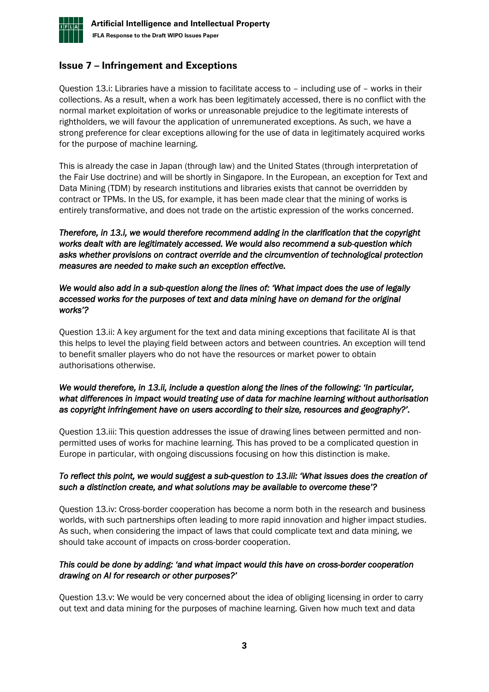

### **Issue 7 – Infringement and Exceptions**

Question 13.i: Libraries have a mission to facilitate access to – including use of – works in their collections. As a result, when a work has been legitimately accessed, there is no conflict with the normal market exploitation of works or unreasonable prejudice to the legitimate interests of rightholders, we will favour the application of unremunerated exceptions. As such, we have a strong preference for clear exceptions allowing for the use of data in legitimately acquired works for the purpose of machine learning.

This is already the case in Japan (through law) and the United States (through interpretation of the Fair Use doctrine) and will be shortly in Singapore. In the European, an exception for Text and Data Mining (TDM) by research institutions and libraries exists that cannot be overridden by contract or TPMs. In the US, for example, it has been made clear that the mining of works is entirely transformative, and does not trade on the artistic expression of the works concerned.

*Therefore, in 13.i, we would therefore recommend adding in the clarification that the copyright works dealt with are legitimately accessed. We would also recommend a sub-question which asks whether provisions on contract override and the circumvention of technological protection measures are needed to make such an exception effective.* 

#### *We would also add in a sub-question along the lines of: 'What impact does the use of legally accessed works for the purposes of text and data mining have on demand for the original works'?*

Question 13.ii: A key argument for the text and data mining exceptions that facilitate AI is that this helps to level the playing field between actors and between countries. An exception will tend to benefit smaller players who do not have the resources or market power to obtain authorisations otherwise.

### *We would therefore, in 13.ii, include a question along the lines of the following: 'In particular, what differences in impact would treating use of data for machine learning without authorisation as copyright infringement have on users according to their size, resources and geography?'.*

Question 13.iii: This question addresses the issue of drawing lines between permitted and nonpermitted uses of works for machine learning. This has proved to be a complicated question in Europe in particular, with ongoing discussions focusing on how this distinction is make.

### *To reflect this point, we would suggest a sub-question to 13.iii: 'What issues does the creation of such a distinction create, and what solutions may be available to overcome these'?*

Question 13.iv: Cross-border cooperation has become a norm both in the research and business worlds, with such partnerships often leading to more rapid innovation and higher impact studies. As such, when considering the impact of laws that could complicate text and data mining, we should take account of impacts on cross-border cooperation.

### *This could be done by adding: 'and what impact would this have on cross-border cooperation drawing on AI for research or other purposes?'*

Question 13.v: We would be very concerned about the idea of obliging licensing in order to carry out text and data mining for the purposes of machine learning. Given how much text and data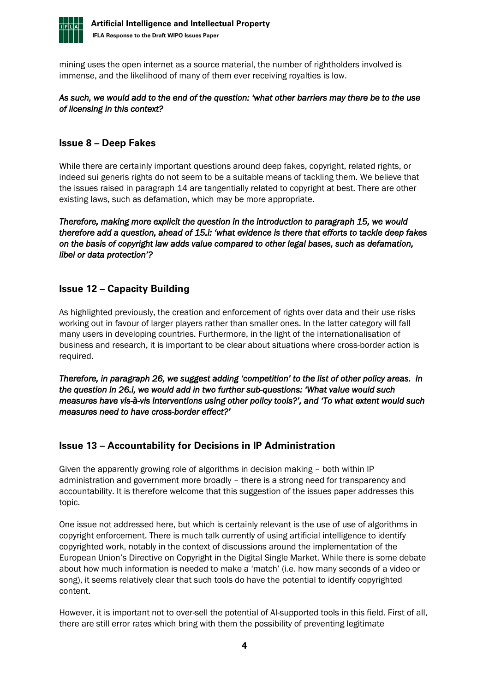

mining uses the open internet as a source material, the number of rightholders involved is immense, and the likelihood of many of them ever receiving royalties is low.

### *As such, we would add to the end of the question: 'what other barriers may there be to the use of licensing in this context?*

### **Issue 8 – Deep Fakes**

While there are certainly important questions around deep fakes, copyright, related rights, or indeed sui generis rights do not seem to be a suitable means of tackling them. We believe that the issues raised in paragraph 14 are tangentially related to copyright at best. There are other existing laws, such as defamation, which may be more appropriate.

*Therefore, making more explicit the question in the introduction to paragraph 15, we would therefore add a question, ahead of 15.i: 'what evidence is there that efforts to tackle deep fakes on the basis of copyright law adds value compared to other legal bases, such as defamation, libel or data protection'?* 

### **Issue 12 – Capacity Building**

As highlighted previously, the creation and enforcement of rights over data and their use risks working out in favour of larger players rather than smaller ones. In the latter category will fall many users in developing countries. Furthermore, in the light of the internationalisation of business and research, it is important to be clear about situations where cross-border action is required.

*Therefore, in paragraph 26, we suggest adding 'competition' to the list of other policy areas. In the question in 26.i, we would add in two further sub-questions: 'What value would such measures have vis-à-vis interventions using other policy tools?', and 'To what extent would such measures need to have cross-border effect?'* 

### **Issue 13 – Accountability for Decisions in IP Administration**

Given the apparently growing role of algorithms in decision making – both within IP administration and government more broadly – there is a strong need for transparency and accountability. It is therefore welcome that this suggestion of the issues paper addresses this topic.

One issue not addressed here, but which is certainly relevant is the use of use of algorithms in copyright enforcement. There is much talk currently of using artificial intelligence to identify copyrighted work, notably in the context of discussions around the implementation of the European Union's Directive on Copyright in the Digital Single Market. While there is some debate about how much information is needed to make a 'match' (i.e. how many seconds of a video or song), it seems relatively clear that such tools do have the potential to identify copyrighted content.

However, it is important not to over-sell the potential of AI-supported tools in this field. First of all, there are still error rates which bring with them the possibility of preventing legitimate